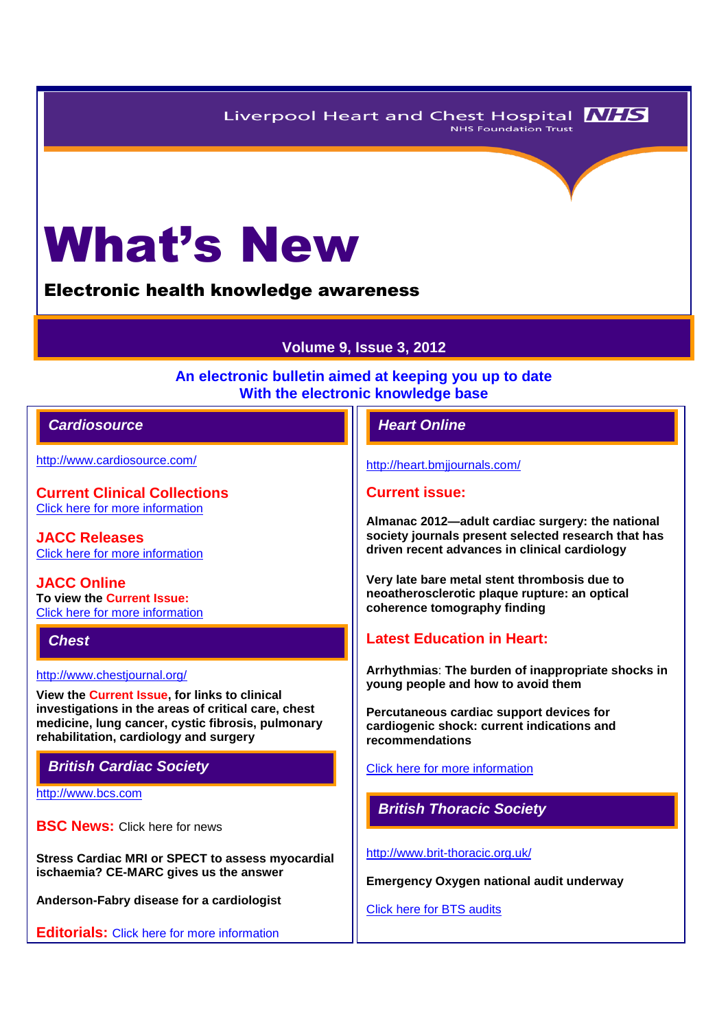Liverpool Heart and Chest Hospital **NHS** NHS Foundation Trust



Electronic health knowledge awareness

# **Volume 9, Issue 3, 2012**

## **An electronic bulletin aimed at keeping you up to date With the electronic knowledge base**

## *Cardiosource Heart Online*

<http://www.cardiosource.com/>

**Current Clinical Collections** [Click here for more information](http://www.cardiosource.org/science-and-quality/clinical-collections.aspx)

**JACC Releases** [Click here for more information](http://www.cardiosource.org/news-media/media-center/jacc-releases.aspx)

**JACC Online To view the Current Issue:** [Click here for more information](http://content.onlinejacc.org/current.dtl)

*Chest* 

<http://www.chestjournal.org/>

**View the Current Issue, for links to clinical investigations in the areas of critical care, chest medicine, lung cancer, cystic fibrosis, pulmonary rehabilitation, cardiology and surgery**

*British Cardiac Society*

[http://www.bcs.com](http://www.bcs.com/)

**BSC News: [Click here for news](http://www.bcs.com/pages/news_all.asp?NewsCatID=866)** 

**Stress Cardiac MRI or SPECT to assess myocardial ischaemia? CE-MARC gives us the answer**

**Anderson-Fabry disease for a cardiologist**

**Editorials:** [Click here for more information](http://www.bcs.com/editorial/editorial.asp)

<http://heart.bmjjournals.com/>

## **Current issue:**

**Almanac 2012—adult cardiac surgery: the national society journals present selected research that has driven recent advances in clinical cardiology**

**Very late bare metal stent thrombosis due to neoatherosclerotic plaque rupture: an optical coherence tomography finding**

# **Latest Education in Heart:**

**Arrhythmias**: **The burden of inappropriate shocks in young people and how to avoid them**

**Percutaneous cardiac support devices for cardiogenic shock: current indications and recommendations**

[Click here for more information](http://heart.bmj.com/site/about/education.xhtml) 

*British Thoracic Society* 

<http://www.brit-thoracic.org.uk/>

**Emergency Oxygen national audit underway** 

[Click here for BTS audits](http://www.brit-thoracic.org.uk/audit.aspx)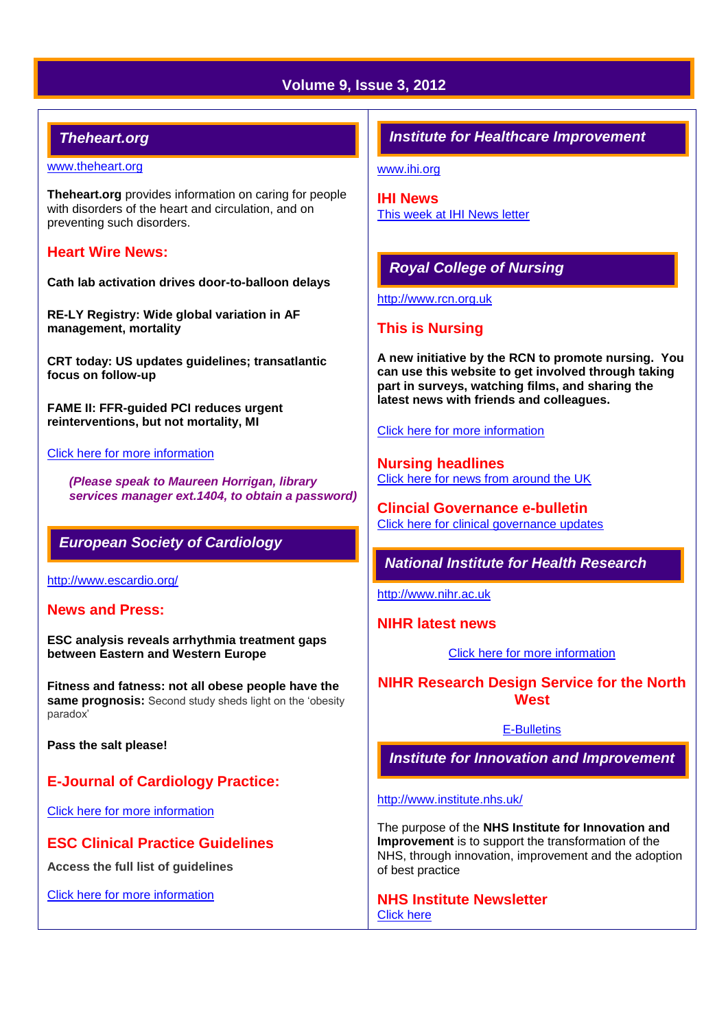# **Volume 9, Issue 3, 2012**

# *Theheart.org*

#### [www.theheart.org](http://www.theheart.org/)

**Theheart.org** provides information on caring for people with disorders of the heart and circulation, and on preventing such disorders.

## **Heart Wire News:**

**Cath lab activation drives door-to-balloon delays**

**RE-LY Registry: Wide global variation in AF management, mortality**

**CRT today: US updates guidelines; transatlantic focus on follow-up**

**FAME II: FFR-guided PCI reduces urgent reinterventions, but not mortality, MI**

#### [Click here for more information](http://www.theheart.org/section/heartwire.do)

*(Please speak to Maureen Horrigan, library services manager ext.1404, to obtain a password)*

## *European Society of Cardiology*

<http://www.escardio.org/>

#### **News and Press:**

**ESC analysis reveals arrhythmia treatment gaps between Eastern and Western Europe**

**Fitness and fatness: not all obese people have the same prognosis:** Second study sheds light on the 'obesity' paradox'

**Pass the salt please!**

# **E-Journal of Cardiology Practice:**

[Click here for more information](http://www.escardio.org/communities/councils/ccp/e-journal/volume11/Pages/welcome.aspx)

## **ESC Clinical Practice Guidelines**

**Access the full list of guidelines** 

[Click here for more information](http://www.escardio.org/guidelines-surveys/esc-guidelines/Pages/GuidelinesList.aspx)

## *Institute for Healthcare Improvement*

[www.ihi.org](http://www.ihi.org/)

**IHI News**  [This week at IHI News letter](http://www.ihi.org/Documents/ThisWeekatIHI.htm) 

# *Royal College of Nursing*

[http://www.rcn.org.uk](http://www.rcn.org.uk/)

## **This is Nursing**

**A new initiative by the RCN to promote nursing. You can use this website to get involved through taking part in surveys, watching films, and sharing the latest news with friends and colleagues.**

[Click here for more information](http://thisisnursing.rcn.org.uk/members/)

**Nursing headlines** [Click here for news from around the UK](http://www.rcn.org.uk/newsevents/news)

**Clincial Governance e-bulletin** [Click here for clinical governance updates](http://www.rcn.org.uk/development/practice/clinical_governance/quality_and_safety_e-bulletin/e-bulletin_archive)

# *National Institute for Health Research*

[http://www.nihr.ac.uk](http://www.nihr.ac.uk/)

**NIHR latest news**

[Click here for more information](http://www.nihr.ac.uk/news/Pages/default.aspx)

**NIHR Research Design Service for the North West**

#### [E-Bulletins](http://www.rds-nw.nihr.ac.uk/newstrainingevents/ebulletin.php)

*Institute for Innovation and Improvement*

#### <http://www.institute.nhs.uk/>

The purpose of the **NHS Institute for Innovation and Improvement** is to support the transformation of the NHS, through innovation, improvement and the adoption of best practice

**NHS Institute Newsletter**  [Click here](http://www.institute.nhs.uk/organisation/general/nhs_institute_newsletters.html)